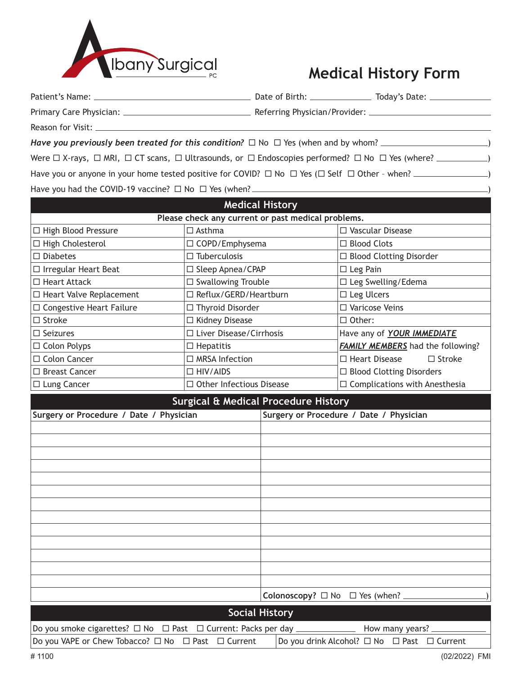

## **Medical History Form**

| <b>Medical History</b>                             |                           |                                |  |  |
|----------------------------------------------------|---------------------------|--------------------------------|--|--|
| Please check any current or past medical problems. |                           |                                |  |  |
| $\Box$ High Blood Pressure                         |                           |                                |  |  |
|                                                    | $\Box$ Asthma             | $\Box$ Vascular Disease        |  |  |
| $\Box$ High Cholesterol                            | $\Box$ COPD/Emphysema     | $\Box$ Blood Clots             |  |  |
| $\Box$ Diabetes                                    | $\Box$ Tuberculosis       | $\Box$ Blood Clotting Disorder |  |  |
| $\Box$ Irregular Heart Beat                        | $\Box$ Sleep Apnea/CPAP   | $\Box$ Leg Pain                |  |  |
| $\Box$ Heart Attack                                | $\Box$ Swallowing Trouble | □ Leg Swelling/Edema           |  |  |

 $\Box$  Congestive Heart Failure  $\Box$  Thyroid Disorder  $\Box$  Varicose Veins

□ Seizures 2010 **I Liver Disease/Cirrhosis** Have any of **YOUR IMMEDIATE** 

□ Colon Polyps  $\Box$  Hepatitis **FAMILY MEMBERS** had the following?  $\Box$  Colon Cancer  $\Box$  The MRSA Infection  $\Box$  Heart Disease  $\Box$  Stroke

 $\Box$  Stroke  $\Box$  Kidney Disease  $\Box$  Other:

| □ Breast Cancer                          | $\Box$ HIV/AIDS                 |                                         | □ Blood Clotting Disorders           |  |
|------------------------------------------|---------------------------------|-----------------------------------------|--------------------------------------|--|
| □ Lung Cancer                            | $\Box$ Other Infectious Disease |                                         | $\Box$ Complications with Anesthesia |  |
| Surgical & Medical Procedure History     |                                 |                                         |                                      |  |
| Surgery or Procedure / Date / Physician  |                                 | Surgery or Procedure / Date / Physician |                                      |  |
|                                          |                                 |                                         |                                      |  |
|                                          |                                 |                                         |                                      |  |
|                                          |                                 |                                         |                                      |  |
|                                          |                                 |                                         |                                      |  |
|                                          |                                 |                                         |                                      |  |
|                                          |                                 |                                         |                                      |  |
|                                          |                                 |                                         |                                      |  |
|                                          |                                 |                                         |                                      |  |
|                                          |                                 |                                         |                                      |  |
|                                          |                                 |                                         |                                      |  |
|                                          |                                 |                                         |                                      |  |
|                                          |                                 |                                         |                                      |  |
|                                          |                                 |                                         |                                      |  |
| Colonoscopy? $\Box$ No $\Box$ Yes (when? |                                 |                                         |                                      |  |

| Social History                                                                     |                                                                |  |  |  |
|------------------------------------------------------------------------------------|----------------------------------------------------------------|--|--|--|
| Do you smoke cigarettes? □ No □ Past □ Current: Packs per day _<br>How many years? |                                                                |  |  |  |
| Do you VAPE or Chew Tobacco? □ No □ Past □ Current                                 | $ $ Do you drink Alcohol? $\Box$ No $\Box$ Past $\Box$ Current |  |  |  |